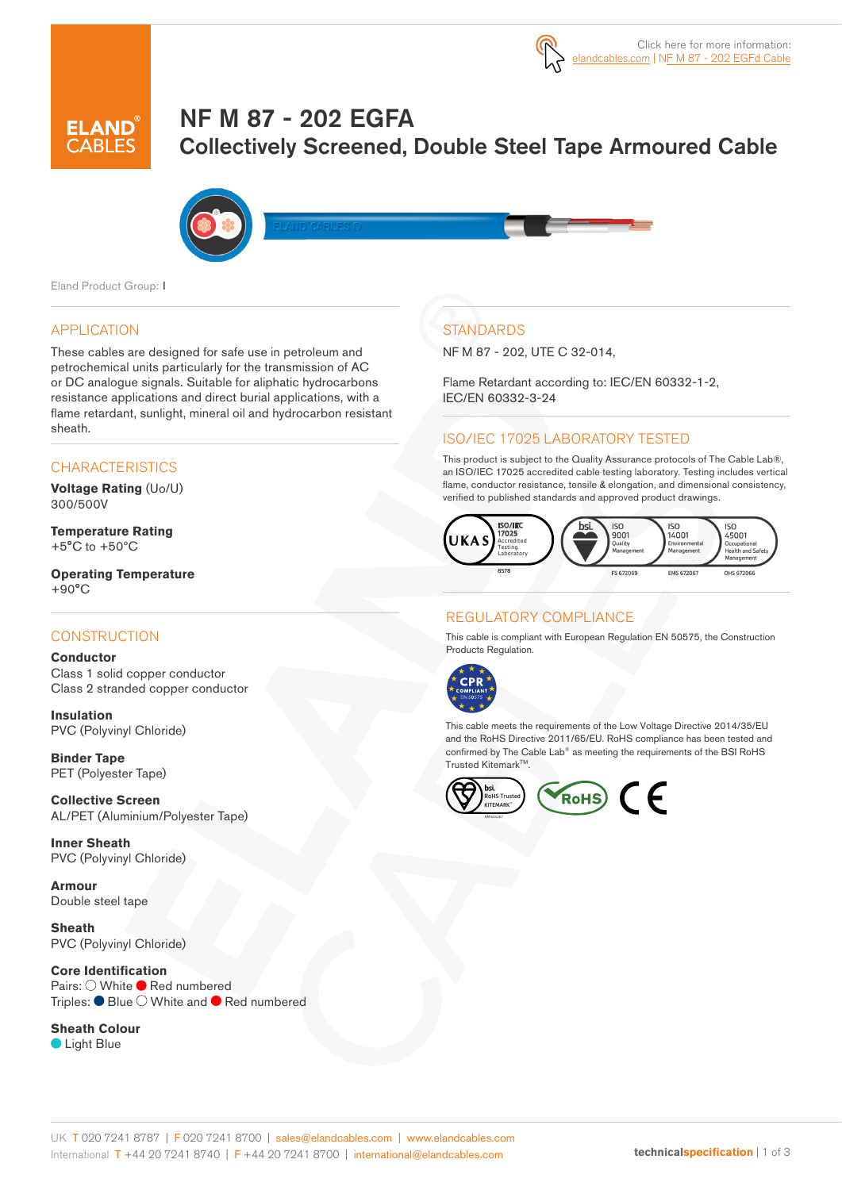

# NF M 87 - 202 EGFA Collectively Screened, Double Steel Tape Armoured Cable



Eland Product Group: I

#### APPLICATION

These cables are designed for safe use in petroleum and petrochemical units particularly for the transmission of AC or DC analogue signals. Suitable for aliphatic hydrocarbons resistance applications and direct burial applications, with a flame retardant, sunlight, mineral oil and hydrocarbon resistant sheath.

#### **CHARACTERISTICS**

**Voltage Rating** (Uo/U) 300/500V

**Temperature Rating** +5°C to +50ºC

**Operating Temperature**  $+90^{\circ}$ C

#### **CONSTRUCTION**

**Conductor** Class 1 solid copper conductor Class 2 stranded copper conductor

**Insulation** PVC (Polyvinyl Chloride)

**Binder Tape** PET (Polyester Tape)

**Collective Screen** AL/PET (Aluminium/Polyester Tape)

**Inner Sheath** PVC (Polyvinyl Chloride)

**Armour** Double steel tape

**Sheath** PVC (Polyvinyl Chloride)

**Core Identification** Pairs: O White Red numbered Triples:  $\bullet$  Blue  $\circlearrowright$  White and  $\bullet$  Red numbered

# **Sheath Colour**

**C** Light Blue

# **STANDARDS**

NF M 87 - 202, UTE C 32-014,

Flame Retardant according to: IEC/EN 60332-1-2, IEC/EN 60332-3-24

#### ISO/IEC 17025 LABORATORY TESTED

This product is subject to the Quality Assurance protocols of The Cable Lab®, an ISO/IEC 17025 accredited cable testing laboratory. Testing includes vertical flame, conductor resistance, tensile & elongation, and dimensional consistency, verified to published standards and approved product drawings.



#### REGULATORY COMPLIANCE

This cable is compliant with European Regulation EN 50575, the Construction Products Regulation.



This cable meets the requirements of the Low Voltage Directive 2014/35/EU and the RoHS Directive 2011/65/EU. RoHS compliance has been tested and confirmed by The Cable Lab® as meeting the requirements of the BSI RoHS Trusted Kitemark™.

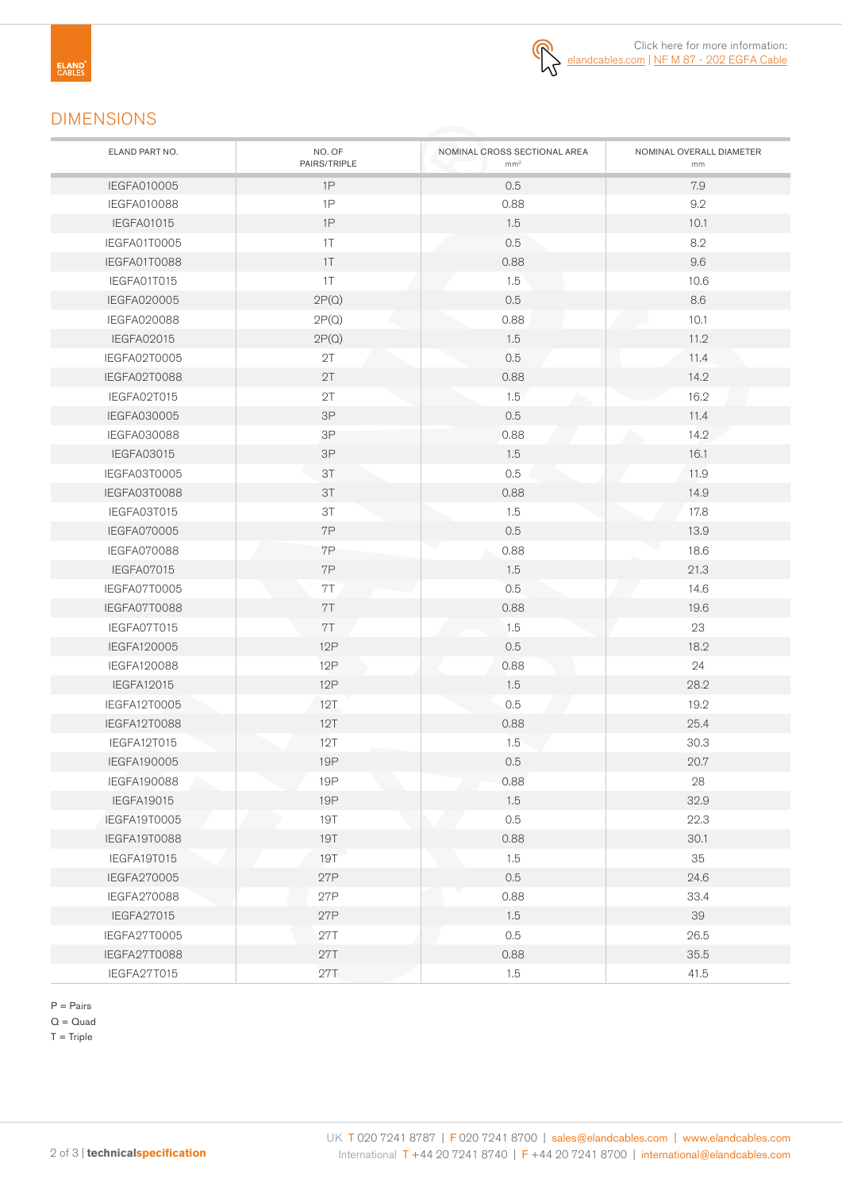

### DIMENSIONS

| ELAND PART NO.     | NO. OF<br>PAIRS/TRIPLE | NOMINAL CROSS SECTIONAL AREA<br>mm <sup>2</sup> | NOMINAL OVERALL DIAMETER<br>mm |
|--------------------|------------------------|-------------------------------------------------|--------------------------------|
| IEGFA010005        | 1P                     | 0.5                                             | 7.9                            |
| IEGFA010088        | 1P                     | 0.88                                            | 9.2                            |
| <b>IEGFA01015</b>  | 1P                     | 1.5                                             | 10.1                           |
| IEGFA01T0005       | 1T                     | 0.5                                             | 8.2                            |
| IEGFA01T0088       | 1T                     | 0.88                                            | 9.6                            |
| IEGFA01T015        | 1T                     | 1.5                                             | 10.6                           |
| IEGFA020005        | 2P(Q)                  | 0.5                                             | 8.6                            |
| <b>IEGFA020088</b> | 2P(Q)                  | 0.88                                            | 10.1                           |
| IEGFA02015         | 2P(Q)                  | 1.5                                             | 11.2                           |
| IEGFA02T0005       | 2T                     | 0.5                                             | 11.4                           |
| IEGFA02T0088       | 2T                     | 0.88                                            | 14.2                           |
| IEGFA02T015        | 2T                     | 1.5                                             | 16.2                           |
| IEGFA030005        | 3P                     | 0.5                                             | 11.4                           |
| <b>IEGFA030088</b> | $3\mathsf{P}$          | 0.88                                            | 14.2                           |
| IEGFA03015         | $3\mathsf{P}$          | 1.5                                             | 16.1                           |
| IEGFA03T0005       | 3T                     | 0.5                                             | 11.9                           |
| IEGFA03T0088       | 3T                     | 0.88                                            | 14.9                           |
| IEGFA03T015        | 3T                     | 1.5                                             | 17.8                           |
| <b>IEGFA070005</b> | 7P                     | 0.5                                             | 13.9                           |
| <b>IEGFA070088</b> | 7P                     | 0.88                                            | 18.6                           |
| IEGFA07015         | 7P                     | 1.5                                             | 21.3                           |
| IEGFA07T0005       | 7T                     | 0.5                                             | 14.6                           |
| IEGFA07T0088       | 7T                     | 0.88                                            | 19.6                           |
| IEGFA07T015        | 7T                     | 1.5                                             | 23                             |
| IEGFA120005        | 12P                    | 0.5                                             | 18.2                           |
| <b>IEGFA120088</b> | 12P                    | 0.88                                            | 24                             |
| IEGFA12015         | 12P                    | 1.5                                             | 28.2                           |
| IEGFA12T0005       | 12T                    | 0.5                                             | 19.2                           |
| IEGFA12T0088       | 12T                    | 0.88                                            | 25.4                           |
| IEGFA12T015        | 12T                    | 1.5                                             | 30.3                           |
| IEGFA190005        | <b>19P</b>             | 0.5                                             | 20.7                           |
| <b>IEGFA190088</b> | 19P                    | 0.88                                            | 28                             |
| <b>IEGFA19015</b>  | <b>19P</b>             | 1.5                                             | 32.9                           |
| IEGFA19T0005       | <b>19T</b>             | 0.5                                             | 22.3                           |
| IEGFA19T0088       | <b>19T</b>             | 0.88                                            | 30.1                           |
| IEGFA19T015        | <b>19T</b>             | 1.5                                             | 35                             |
| IEGFA270005        | 27P                    | 0.5                                             | 24.6                           |
| <b>IEGFA270088</b> | 27P                    | 0.88                                            | 33.4                           |
| IEGFA27015         | 27P                    | 1.5                                             | 39                             |
| IEGFA27T0005       | 27T                    | 0.5                                             | 26.5                           |
| IEGFA27T0088       | 27T                    | 0.88                                            | 35.5                           |
| IEGFA27T015        | 27T                    | 1.5                                             | 41.5                           |

P = Pairs

 $Q = Quad$ 

 $T =$ Triple